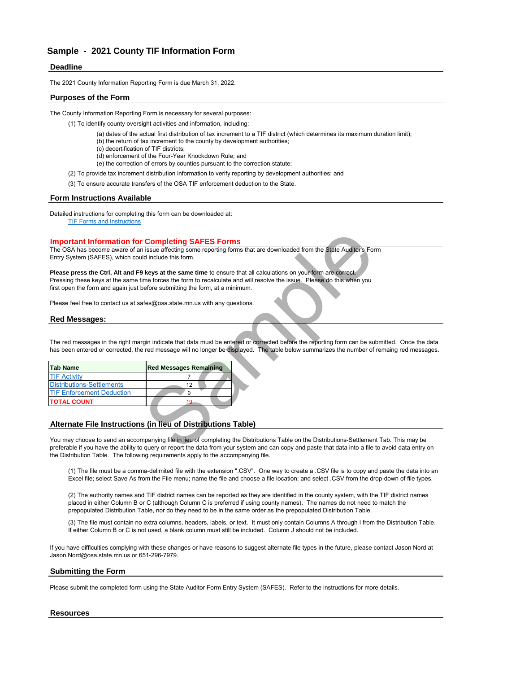# **Deadline**

The 2021 County Information Reporting Form is due March 31, 2022.

# **Purposes of the Form**

The County Information Reporting Form is necessary for several purposes:

- (1) To identify county oversight activities and information, including:
	- (a) dates of the actual first distribution of tax increment to a TIF district (which determines its maximum duration limit);
	- (b) the return of tax increment to the county by development authorities;
	- (c) decertification of TIF districts;
	- (d) enforcement of the Four-Year Knockdown Rule; and
	- (e) the correction of errors by counties pursuant to the correction statute;
- (2) To provide tax increment distribution information to verify reporting by development authorities; and
- (3) To ensure accurate transfers of the OSA TIF enforcement deduction to the State.

### **Form Instructions Available**

Detailed instructions for completing this form can be downloaded at: [TIF Forms](https://www.osa.state.mn.us/forms-deadlines/forms/tif-forms/) and Instructions

### **Important Information for Completing SAFES Forms**

### **Red Messages:**

The red messages in the right margin indicate that data must be entered or corrected before the reporting form can be submitted. Once the data has been entered or corrected, the red message will no longer be displayed. The table below summarizes the number of remaing red messages.

|                                                      | <b>Important Information for Completing SAFES Forms</b>                                                                                                                                                                                                  |
|------------------------------------------------------|----------------------------------------------------------------------------------------------------------------------------------------------------------------------------------------------------------------------------------------------------------|
|                                                      | The OSA has become aware of an issue affecting some reporting forms that are downloaded from the State Auditor's For                                                                                                                                     |
| Entry System (SAFES), which could include this form. |                                                                                                                                                                                                                                                          |
|                                                      | Please press the Ctrl, Alt and F9 keys at the same time to ensure that all calculations on your form are correct.                                                                                                                                        |
|                                                      | Pressing these keys at the same time forces the form to recalculate and will resolve the issue. Please do this when you                                                                                                                                  |
|                                                      | first open the form and again just before submitting the form, at a minimum.                                                                                                                                                                             |
|                                                      | Please feel free to contact us at safes@osa.state.mn.us with any questions.                                                                                                                                                                              |
| <b>Red Messages:</b>                                 |                                                                                                                                                                                                                                                          |
|                                                      |                                                                                                                                                                                                                                                          |
|                                                      |                                                                                                                                                                                                                                                          |
|                                                      | The red messages in the right margin indicate that data must be entered or corrected before the reporting form can be su<br>has been entered or corrected, the red message will no longer be displayed. The table below summarizes the number of         |
| <b>Tab Name</b>                                      | <b>Red Messages Remaining</b>                                                                                                                                                                                                                            |
| <b>TIF Activity</b>                                  | 7                                                                                                                                                                                                                                                        |
| <b>Distributions-Settlements</b>                     | 12                                                                                                                                                                                                                                                       |
| <b>TIF Enforcement Deduction</b>                     | $\Omega$                                                                                                                                                                                                                                                 |
| <b>TOTAL COUNT</b>                                   | 19                                                                                                                                                                                                                                                       |
|                                                      |                                                                                                                                                                                                                                                          |
|                                                      | Alternate File Instructions (in lieu of Distributions Table)                                                                                                                                                                                             |
|                                                      |                                                                                                                                                                                                                                                          |
|                                                      | You may choose to send an accompanying file in lieu of completing the Distributions Table on the Distributions-Settlemen<br>preferable if you have the ability to query or report the data from your system and can copy and paste that data into a file |

# **Alternate File Instructions (in lieu of Distributions Table)**

You may choose to send an accompanying file in lieu of completing the Distributions Table on the Distributions-Settlement Tab. This may be preferable if you have the ability to query or report the data from your system and can copy and paste that data into a file to avoid data entry on the Distribution Table. The following requirements apply to the accompanying file.

(1) The file must be a comma-delimited file with the extension ".CSV". One way to create a .CSV file is to copy and paste the data into an Excel file; select Save As from the File menu; name the file and choose a file location; and select .CSV from the drop-down of file types.

(2) The authority names and TIF district names can be reported as they are identified in the county system, with the TIF district names placed in either Column B or C (although Column C is preferred if using county names). The names do not need to match the prepopulated Distribution Table, nor do they need to be in the same order as the prepopulated Distribution Table.

(3) The file must contain no extra columns, headers, labels, or text. It must only contain Columns A through I from the Distribution Table. If either Column B or C is not used, a blank column must still be included. Column J should not be included.

If you have difficulties complying with these changes or have reasons to suggest alternate file types in the future, please contact Jason Nord at Jason.Nord@osa.state.mn.us or 651-296-7979.

### **Submitting the Form**

Please submit the completed form using the State Auditor Form Entry System (SAFES). Refer to the instructions for more details.

# **Resources**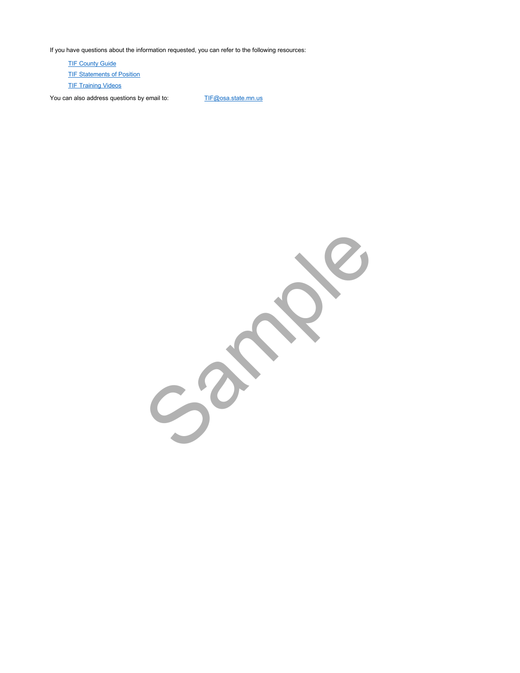If you have questions about the information requested, you can refer to the following resources:

**[TIF Statem](https://www.osa.state.mn.us/training-guidance/guidance/statements-of-position/)ents of Position [TIF Trainin](https://www.osa.state.mn.us/training-guidance/training/training-opportunities/)g Videos [TIF Count](https://www.osa.state.mn.us/training-guidance/guidance/tif-county-guides/)y Guide** 

You can also address questions by email to: [TIF@osa.](mailto:TIF@osa.state.mn.us)state.mn.us

Sample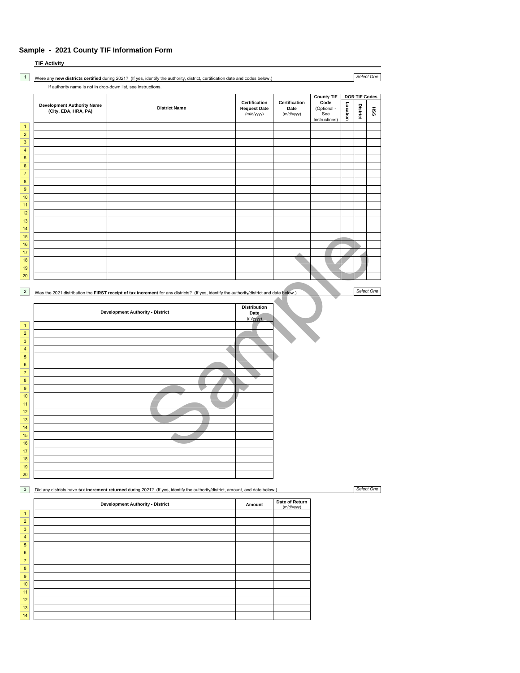|                                    | <b>TIF Activity</b>                                           |                                                                                                                                           |                                                    |                                     |                                                                  |          |                                  |            |
|------------------------------------|---------------------------------------------------------------|-------------------------------------------------------------------------------------------------------------------------------------------|----------------------------------------------------|-------------------------------------|------------------------------------------------------------------|----------|----------------------------------|------------|
| $\mathbf{1}$                       | If authority name is not in drop-down list, see instructions. | Were any new districts certified during 2021? (If yes, identify the authority, district, certification date and codes below.)             |                                                    |                                     |                                                                  |          |                                  | Select One |
|                                    | <b>Development Authority Name</b><br>(City, EDA, HRA, PA)     | <b>District Name</b>                                                                                                                      | Certification<br><b>Request Date</b><br>(m/d/yyyy) | Certification<br>Date<br>(m/d/yyyy) | <b>County TIF</b><br>Code<br>(Optional -<br>See<br>Instructions) | Location | <b>DOR TIF Codes</b><br>District | Яă         |
| $\mathbf{1}$<br>$\overline{2}$     |                                                               |                                                                                                                                           |                                                    |                                     |                                                                  |          |                                  |            |
| $\mathbf 3$                        |                                                               |                                                                                                                                           |                                                    |                                     |                                                                  |          |                                  |            |
| 4<br>$\sqrt{5}$                    |                                                               |                                                                                                                                           |                                                    |                                     |                                                                  |          |                                  |            |
| 6<br>$\overline{\mathbf{7}}$       |                                                               |                                                                                                                                           |                                                    |                                     |                                                                  |          |                                  |            |
| $\bf 8$                            |                                                               |                                                                                                                                           |                                                    |                                     |                                                                  |          |                                  |            |
| 9<br>10                            |                                                               |                                                                                                                                           |                                                    |                                     |                                                                  |          |                                  |            |
| 11                                 |                                                               |                                                                                                                                           |                                                    |                                     |                                                                  |          |                                  |            |
| 12<br>13                           |                                                               |                                                                                                                                           |                                                    |                                     |                                                                  |          |                                  |            |
| 14<br>$15\,$                       |                                                               |                                                                                                                                           |                                                    |                                     |                                                                  |          |                                  |            |
| 16                                 |                                                               |                                                                                                                                           |                                                    |                                     |                                                                  |          |                                  |            |
| 17<br>18                           |                                                               |                                                                                                                                           |                                                    |                                     |                                                                  |          |                                  |            |
| 19<br>$20\,$                       |                                                               |                                                                                                                                           |                                                    |                                     |                                                                  |          |                                  |            |
|                                    |                                                               |                                                                                                                                           |                                                    |                                     |                                                                  |          |                                  | Select One |
| $\overline{c}$                     |                                                               | Was the 2021 distribution the FIRST receipt of tax increment for any districts? (If yes, identify the authority/district and date below.) |                                                    |                                     |                                                                  |          |                                  |            |
| $\mathbf{1}$                       |                                                               | <b>Development Authority - District</b>                                                                                                   | <b>Distribution</b><br>Date<br>(m/yyyy)            |                                     |                                                                  |          |                                  |            |
| $\overline{2}$                     |                                                               |                                                                                                                                           |                                                    |                                     |                                                                  |          |                                  |            |
| $\mathbf 3$<br>4                   |                                                               |                                                                                                                                           |                                                    |                                     |                                                                  |          |                                  |            |
| $\sqrt{5}$<br>6                    |                                                               |                                                                                                                                           |                                                    |                                     |                                                                  |          |                                  |            |
| $\boldsymbol{7}$                   |                                                               |                                                                                                                                           |                                                    |                                     |                                                                  |          |                                  |            |
| $\bf 8$<br>9                       |                                                               |                                                                                                                                           |                                                    |                                     |                                                                  |          |                                  |            |
| 10<br>11                           |                                                               |                                                                                                                                           |                                                    |                                     |                                                                  |          |                                  |            |
| 12                                 |                                                               |                                                                                                                                           |                                                    |                                     |                                                                  |          |                                  |            |
| 13<br>14                           |                                                               |                                                                                                                                           |                                                    |                                     |                                                                  |          |                                  |            |
| 15<br>$16\,$                       |                                                               |                                                                                                                                           |                                                    |                                     |                                                                  |          |                                  |            |
| 17                                 |                                                               |                                                                                                                                           |                                                    |                                     |                                                                  |          |                                  |            |
| 18<br>19                           |                                                               |                                                                                                                                           |                                                    |                                     |                                                                  |          |                                  |            |
| $20\,$                             |                                                               |                                                                                                                                           |                                                    |                                     |                                                                  |          |                                  |            |
| $\overline{3}$                     |                                                               | Did any districts have tax increment returned during 2021? (If yes, identify the authority/district, amount, and date below.)             |                                                    |                                     |                                                                  |          |                                  | Select One |
|                                    |                                                               | <b>Development Authority - District</b>                                                                                                   | Amount                                             | Date of Return<br>(m/d/yyyy)        |                                                                  |          |                                  |            |
| $\mathbf{1}$<br>$\overline{2}$     |                                                               |                                                                                                                                           |                                                    |                                     |                                                                  |          |                                  |            |
| $\mathsf 3$                        |                                                               |                                                                                                                                           |                                                    |                                     |                                                                  |          |                                  |            |
| $\overline{4}$<br>$\mathbf 5$      |                                                               |                                                                                                                                           |                                                    |                                     |                                                                  |          |                                  |            |
| $\bf 6$<br>$\overline{\mathbf{7}}$ |                                                               |                                                                                                                                           |                                                    |                                     |                                                                  |          |                                  |            |
| $\bf 8$                            |                                                               |                                                                                                                                           |                                                    |                                     |                                                                  |          |                                  |            |
| $\boldsymbol{9}$<br>10             |                                                               |                                                                                                                                           |                                                    |                                     |                                                                  |          |                                  |            |
| 11<br>12                           |                                                               |                                                                                                                                           |                                                    |                                     |                                                                  |          |                                  |            |
| 13                                 |                                                               |                                                                                                                                           |                                                    |                                     |                                                                  |          |                                  |            |
| 14                                 |                                                               |                                                                                                                                           |                                                    |                                     |                                                                  |          |                                  |            |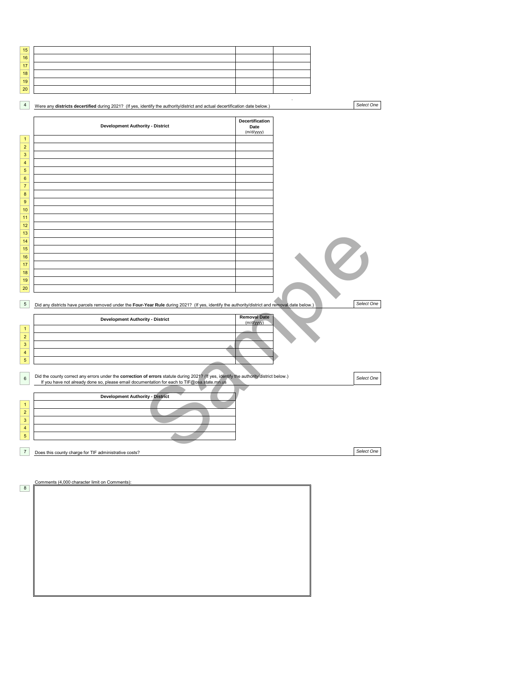| 15 |  |  |
|----|--|--|
| 16 |  |  |
| 17 |  |  |
| 18 |  |  |
| 19 |  |  |
| 20 |  |  |

| $\overline{4}$                                                           | Were any districts decertified during 2021? (If yes, identify the authority/district and actual decertification date below.)                                                                                                          |                                       |   | Select One |
|--------------------------------------------------------------------------|---------------------------------------------------------------------------------------------------------------------------------------------------------------------------------------------------------------------------------------|---------------------------------------|---|------------|
|                                                                          | <b>Development Authority - District</b>                                                                                                                                                                                               | Decertification<br>Date<br>(m/d/yyyy) |   |            |
| $\mathbf{1}$<br>$\overline{2}$<br>$\mathsf 3$                            |                                                                                                                                                                                                                                       |                                       |   |            |
| $\overline{\mathbf{4}}$<br>$\sqrt{5}$<br>$\bf 6$                         |                                                                                                                                                                                                                                       |                                       |   |            |
| $\overline{7}$<br>$\bf 8$<br>9                                           |                                                                                                                                                                                                                                       |                                       |   |            |
| 10<br>11                                                                 |                                                                                                                                                                                                                                       |                                       |   |            |
| 12<br>13<br>14                                                           |                                                                                                                                                                                                                                       |                                       |   |            |
| 15<br>16<br>17                                                           |                                                                                                                                                                                                                                       |                                       | Ø |            |
| 18<br>19<br>20                                                           |                                                                                                                                                                                                                                       |                                       |   |            |
| $\sqrt{5}$                                                               | Did any districts have parcels removed under the Four-Year Rule during 2021? (If yes, identify the authority/district and removal date below.)                                                                                        |                                       |   | Select One |
| $\mathbf{1}$                                                             | <b>Development Authority - District</b>                                                                                                                                                                                               | <b>Removal Date</b><br>(m/d/yyyy)     |   |            |
| $\mathbf 2$<br>$\mathsf 3$<br>$\overline{\mathbf{4}}$                    |                                                                                                                                                                                                                                       |                                       |   |            |
| $\sqrt{5}$<br>6                                                          | Did the county correct any errors under the correction of errors statute during 2021? (If yes, identify the authority/district below.)<br>If you have not already done so, please email documentation for each to TIF@osa.state.mn.us |                                       |   | Select One |
|                                                                          | <b>Development Authority - District</b>                                                                                                                                                                                               |                                       |   |            |
| $\mathbf{1}$<br>$\overline{2}$<br>$\mathsf 3$<br>$\overline{\mathbf{4}}$ |                                                                                                                                                                                                                                       |                                       |   |            |
| $\sqrt{5}$                                                               |                                                                                                                                                                                                                                       |                                       |   |            |
| $\boldsymbol{7}$                                                         | Does this county charge for TIF administrative costs?                                                                                                                                                                                 |                                       |   | Select One |

| Comments (4,000 character limit on Comments): |  |  |
|-----------------------------------------------|--|--|
|                                               |  |  |
|                                               |  |  |
|                                               |  |  |
|                                               |  |  |
|                                               |  |  |
|                                               |  |  |
|                                               |  |  |
|                                               |  |  |
|                                               |  |  |
|                                               |  |  |
|                                               |  |  |
|                                               |  |  |
|                                               |  |  |
|                                               |  |  |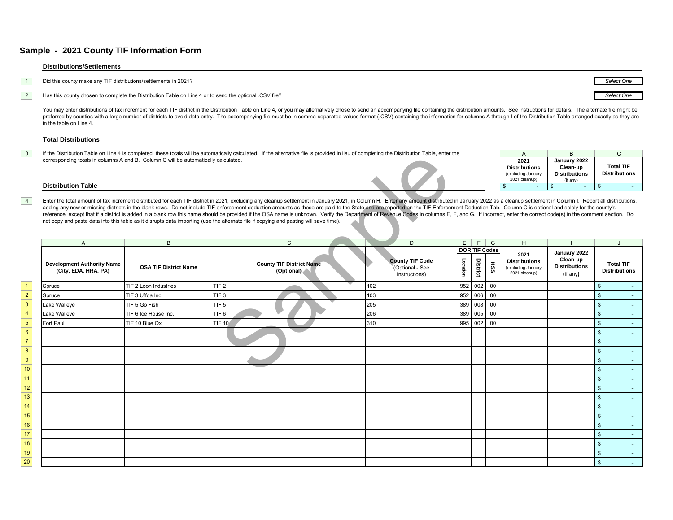#### **Distributions/Settlements**

| Did this county make any TIF distributions/settlements in 2021?                                           |  |
|-----------------------------------------------------------------------------------------------------------|--|
|                                                                                                           |  |
| 1. Has this county chosen to complete the Distribution Table on Line 4 or to send the optional .CSV file? |  |

You may enter distributions of tax increment for each TIF district in the Distribution Table on Line 4, or you may alternatively chose to send an accompanying file containing the distribution amounts. See instructions for preferred by counties with a large number of districts to avoid data entry. The accompanying file must be in comma-separated-values format (.CSV) containing the information for columns A through I of the Distribution Table in the table on Line 4.

#### **Total Distributions**

 $3\,$  If the Distribution Table on Line 4 is completed, these totals will be automatically calculated. If the alternative file is provided in lieu of completing the Distribution Table, enter the \_\_\_\_\_\_\_\_\_\_\_\_\_\_\_\_\_\_\_\_\_\_\_\_\_\_ corresponding totals in columns A and B. Column C will be automatically calculated.

| 2021<br><b>Distributions</b><br>(excluding January<br>2021 cleanup) | January 2022<br>Clean-up<br><b>Distributions</b><br>(if any) | <b>Total TIF</b><br><b>Distributions</b> |
|---------------------------------------------------------------------|--------------------------------------------------------------|------------------------------------------|
|                                                                     |                                                              |                                          |

#### **Distribution Table**

 $|4|$ 

2

3

4

5

|                                    |                                                           |                                                                                     | If the Distribution Table on Line 4 is completed, these totals will be automatically calculated. If the alternative hiers provided in lieu of completing the Distribution Table, enter the                                                                                                                                                                                                                                                                                                                                                                                                                                                                                                                                                                                                                                                 |     |                                                            |          |                      |     | $\mathsf{A}$                                                        | ь                                                            | ◡                                        |
|------------------------------------|-----------------------------------------------------------|-------------------------------------------------------------------------------------|--------------------------------------------------------------------------------------------------------------------------------------------------------------------------------------------------------------------------------------------------------------------------------------------------------------------------------------------------------------------------------------------------------------------------------------------------------------------------------------------------------------------------------------------------------------------------------------------------------------------------------------------------------------------------------------------------------------------------------------------------------------------------------------------------------------------------------------------|-----|------------------------------------------------------------|----------|----------------------|-----|---------------------------------------------------------------------|--------------------------------------------------------------|------------------------------------------|
|                                    |                                                           | corresponding totals in columns A and B. Column C will be automatically calculated. |                                                                                                                                                                                                                                                                                                                                                                                                                                                                                                                                                                                                                                                                                                                                                                                                                                            |     |                                                            |          |                      |     | 2021<br><b>Distributions</b><br>(excluding January<br>2021 cleanup) | January 2022<br>Clean-up<br><b>Distributions</b><br>(if any) | <b>Total TIF</b><br><b>Distributions</b> |
|                                    | <b>Distribution Table</b>                                 |                                                                                     |                                                                                                                                                                                                                                                                                                                                                                                                                                                                                                                                                                                                                                                                                                                                                                                                                                            |     |                                                            |          |                      |     |                                                                     | \$                                                           | \$                                       |
| $\overline{4}$                     |                                                           |                                                                                     | Enter the total amount of tax increment distributed for each TIF district in 2021, excluding any cleanup settlement in January 2021, in Column H. Enter any amount distributed in January 2022 as a cleanup settlement in Colu<br>adding any new or missing districts in the blank rows. Do not include TIF enforcement deduction amounts as these are paid to the State and are reported on the TIF Enforcement Deduction Tab. Column C is optional and solely<br>reference, except that if a district is added in a blank row this name should be provided if the OSA name is unknown. Verify the Department of Revenue Codes in columns E, F, and G. If incorrect, enter the correct code(s) i<br>not copy and paste data into this table as it disrupts data importing (use the alternate file if copying and pasting will save time). |     |                                                            |          |                      |     |                                                                     |                                                              |                                          |
|                                    | A                                                         | B                                                                                   | $\mathsf{C}$                                                                                                                                                                                                                                                                                                                                                                                                                                                                                                                                                                                                                                                                                                                                                                                                                               |     | D                                                          | E        | $F \mid$             | G   | H                                                                   |                                                              |                                          |
|                                    |                                                           |                                                                                     |                                                                                                                                                                                                                                                                                                                                                                                                                                                                                                                                                                                                                                                                                                                                                                                                                                            |     |                                                            |          | <b>DOR TIF Codes</b> |     | 2021                                                                | January 2022                                                 |                                          |
|                                    | <b>Development Authority Name</b><br>(City, EDA, HRA, PA) | <b>OSA TIF District Name</b>                                                        | <b>County TIF District Name</b><br>(Optional)                                                                                                                                                                                                                                                                                                                                                                                                                                                                                                                                                                                                                                                                                                                                                                                              |     | <b>County TIF Code</b><br>(Optional - See<br>Instructions) | Location | District             | HSS | <b>Distributions</b><br>(excluding January<br>2021 cleanup)         | Clean-up<br><b>Distributions</b><br>(if any)                 | <b>Total TIF</b><br><b>Distributions</b> |
|                                    | Spruce                                                    | TIF 2 Loon Industries                                                               | TIF <sub>2</sub>                                                                                                                                                                                                                                                                                                                                                                                                                                                                                                                                                                                                                                                                                                                                                                                                                           | 102 |                                                            | 952      | 002                  | 00  |                                                                     |                                                              | $\mathbb{S}$                             |
| $\overline{\mathbf{2}}$            | Spruce                                                    | TIF 3 Uffda Inc.                                                                    | TIF <sub>3</sub>                                                                                                                                                                                                                                                                                                                                                                                                                                                                                                                                                                                                                                                                                                                                                                                                                           | 103 |                                                            |          | 952 006              | 00  |                                                                     |                                                              | $\mathbb{S}$<br>$\sim$                   |
| $\overline{3}$                     | Lake Walleye                                              | TIF 5 Go Fish                                                                       | TIF <sub>5</sub>                                                                                                                                                                                                                                                                                                                                                                                                                                                                                                                                                                                                                                                                                                                                                                                                                           | 205 |                                                            | 389      | 008                  | 00  |                                                                     |                                                              | $\mathbb{S}$<br>$\sim$                   |
| $\overline{4}$                     | Lake Walleye                                              | TIF 6 Ice House Inc.                                                                | TIF <sub>6</sub>                                                                                                                                                                                                                                                                                                                                                                                                                                                                                                                                                                                                                                                                                                                                                                                                                           | 206 |                                                            | 389      | 005                  | 00  |                                                                     |                                                              | $\mathfrak{s}$<br>$\sim$                 |
| $5\phantom{.0}$                    | Fort Paul                                                 | TIF 10 Blue Ox                                                                      | <b>TIF 10</b>                                                                                                                                                                                                                                                                                                                                                                                                                                                                                                                                                                                                                                                                                                                                                                                                                              | 310 |                                                            | 995      | 002                  | 00  |                                                                     |                                                              | $\mathfrak{s}$                           |
| $\boldsymbol{6}$                   |                                                           |                                                                                     |                                                                                                                                                                                                                                                                                                                                                                                                                                                                                                                                                                                                                                                                                                                                                                                                                                            |     |                                                            |          |                      |     |                                                                     |                                                              | $\mathfrak{s}$<br>$\sim$                 |
| $\overline{7}$                     |                                                           |                                                                                     |                                                                                                                                                                                                                                                                                                                                                                                                                                                                                                                                                                                                                                                                                                                                                                                                                                            |     |                                                            |          |                      |     |                                                                     |                                                              | $\mathfrak s$<br>$\sim$                  |
| $\overline{\overline{\mathbf{8}}}$ |                                                           |                                                                                     |                                                                                                                                                                                                                                                                                                                                                                                                                                                                                                                                                                                                                                                                                                                                                                                                                                            |     |                                                            |          |                      |     |                                                                     |                                                              | $\mathfrak{s}$<br>$\sim$                 |
| 9                                  |                                                           |                                                                                     |                                                                                                                                                                                                                                                                                                                                                                                                                                                                                                                                                                                                                                                                                                                                                                                                                                            |     |                                                            |          |                      |     |                                                                     |                                                              | $\mathfrak{s}$<br>$\sim$                 |
| 10                                 |                                                           |                                                                                     |                                                                                                                                                                                                                                                                                                                                                                                                                                                                                                                                                                                                                                                                                                                                                                                                                                            |     |                                                            |          |                      |     |                                                                     |                                                              | $\mathbb{S}$<br>$\sim$                   |
| 11                                 |                                                           |                                                                                     |                                                                                                                                                                                                                                                                                                                                                                                                                                                                                                                                                                                                                                                                                                                                                                                                                                            |     |                                                            |          |                      |     |                                                                     |                                                              | $\mathbb{S}$<br>$\sim$                   |
| 12 <sup>°</sup>                    |                                                           |                                                                                     |                                                                                                                                                                                                                                                                                                                                                                                                                                                                                                                                                                                                                                                                                                                                                                                                                                            |     |                                                            |          |                      |     |                                                                     |                                                              | $\mathfrak{s}$                           |
| 13 <sup>°</sup>                    |                                                           |                                                                                     |                                                                                                                                                                                                                                                                                                                                                                                                                                                                                                                                                                                                                                                                                                                                                                                                                                            |     |                                                            |          |                      |     |                                                                     |                                                              | $\mathbb{S}$<br>$\sim$                   |
| 14 <sup>2</sup>                    |                                                           |                                                                                     |                                                                                                                                                                                                                                                                                                                                                                                                                                                                                                                                                                                                                                                                                                                                                                                                                                            |     |                                                            |          |                      |     |                                                                     |                                                              | $\mathfrak{s}$<br>$\sim$                 |
| 15 <sub>15</sub>                   |                                                           |                                                                                     |                                                                                                                                                                                                                                                                                                                                                                                                                                                                                                                                                                                                                                                                                                                                                                                                                                            |     |                                                            |          |                      |     |                                                                     |                                                              | $\mathfrak{s}$<br>$\sim$                 |
| 16 <sup>1</sup>                    |                                                           |                                                                                     |                                                                                                                                                                                                                                                                                                                                                                                                                                                                                                                                                                                                                                                                                                                                                                                                                                            |     |                                                            |          |                      |     |                                                                     |                                                              | $\mathfrak{s}$<br>$\sim$                 |
| 17 <sup>2</sup>                    |                                                           |                                                                                     |                                                                                                                                                                                                                                                                                                                                                                                                                                                                                                                                                                                                                                                                                                                                                                                                                                            |     |                                                            |          |                      |     |                                                                     |                                                              | $\sqrt[6]{3}$<br>$\sim$                  |
| 18                                 |                                                           |                                                                                     |                                                                                                                                                                                                                                                                                                                                                                                                                                                                                                                                                                                                                                                                                                                                                                                                                                            |     |                                                            |          |                      |     |                                                                     |                                                              | $\mathfrak{s}$<br>$\sim$                 |
| 19                                 |                                                           |                                                                                     |                                                                                                                                                                                                                                                                                                                                                                                                                                                                                                                                                                                                                                                                                                                                                                                                                                            |     |                                                            |          |                      |     |                                                                     |                                                              | $\mathbf{s}$<br>$\sim$                   |
| 20                                 |                                                           |                                                                                     |                                                                                                                                                                                                                                                                                                                                                                                                                                                                                                                                                                                                                                                                                                                                                                                                                                            |     |                                                            |          |                      |     |                                                                     |                                                              | $\mathbb{S}$                             |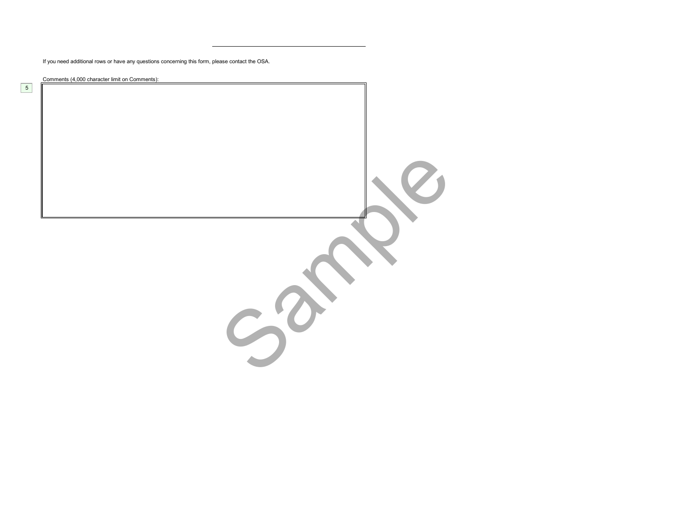If you need additional rows or have any questions concerning this form, please contact the OSA.

 $S^{\sigma}$ 

Comments (4,000 character limit on Comments):

5